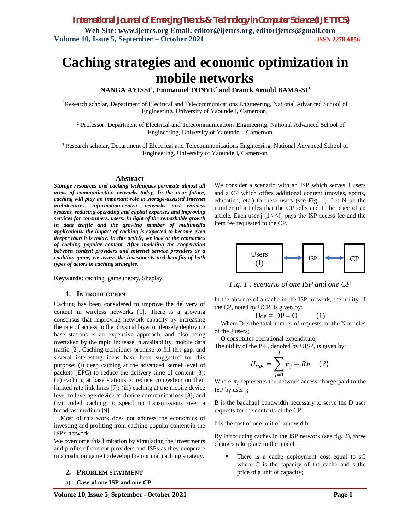# **Caching strategies and economic optimization in mobile networks**

**NANGA AYISSI<sup>1</sup> , Emmanuel TONYE<sup>2</sup> and Franck Arnold BAMA-SI<sup>3</sup>**

<sup>1</sup>Research scholar, Department of Electrical and Telecommunications Engineering, National Advanced School of Engineering, University of Yaounde I, Cameroon,

<sup>2</sup> Professor, Department of Electrical and Telecommunications Engineering, National Advanced School of Engineering, University of Yaounde I, Cameroon,

<sup>3</sup> Research scholar, Department of Electrical and Telecommunications Engineering, National Advanced School of Engineering, University of Yaounde I, Cameroon

#### **Abstract**

*Storage resources and caching techniques permeate almost all areas of communication networks today. In the near future, caching will play an important role in storage-assisted Internet architectures, information-centric networks and wireless systems, reducing operating and capital expenses and improving services for consumers. users. In light of the remarkable growth in data traffic and the growing number of multimedia applications, the impact of caching is expected to become even deeper than it is today. In this article, we look at the economics of caching popular content. After modeling the cooperation between content providers and internet service providers as a coalition game, we assess the investments and benefits of both types of actors in caching strategies.*

**Keywords:** caching, game theory, Shaplay,

#### **1. INTRODUCTION**

Caching has been considered to improve the delivery of content in wireless networks [1]. There is a growing consensus that improving network capacity by increasing the rate of access to the physical layer or densely deploying base stations is an expensive approach, and also being overtaken by the rapid increase in availability. mobile data traffic [2]. Caching techniques promise to fill this gap, and several interesting ideas have been suggested for this purpose: (i) deep caching at the advanced kernel level of packets (EPC) to reduce the delivery time of content [3]; (ii) caching at base stations to reduce congestion on their limited rate link links [7]; (iii) caching at the mobile device level to leverage device-to-device communications [8]; and (iv) coded caching to speed up transmissions over a broadcast medium [9].

Most of this work does not address the economics of investing and profiting from caching popular content in the ISP's network.

We overcome this limitation by simulating the investments and profits of content providers and ISPs as they cooperate in a coalition game to develop the optimal caching strategy.

#### **2. PROBLEM STATMENT**

**a) Case of one ISP and one CP**

We consider a scenario with an ISP which serves J users and a CP which offers additional content (movies, sports, education, etc.) to these users (see Fig. 1). Let N be the number of articles that the CP sells and P the price of an article. Each user j ( $1 \le j \le J$ ) pays the ISP access fee and the item fee requested to the CP.



*Fig. 1 : scenario of one ISP and one CP*

In the absence of a cache in the ISP network, the utility of the CP, noted by UCP, is given by:

$$
U_{CP} = DP - O \qquad (1)
$$

Where D is the total number of requests for the N articles of the J users;

O constitutes operational expenditure;

The utility of the ISP, denoted by UISP, is given by:

$$
U_{ISP} = \sum_{j=1}^{J} \pi_j - Bb \quad (2)
$$

Where  $\pi_j$  represents the network access charge paid to the ISP by user j;

B is the backhaul bandwidth necessary to serve the D user requests for the contents of the CP;

b is the cost of one unit of bandwidth.

By introducing caches in the ISP network (see fig. 2), three changes take place in the model :

 There is a cache deployment cost equal to sC where C is the capacity of the cache and s the price of a unit of capacity;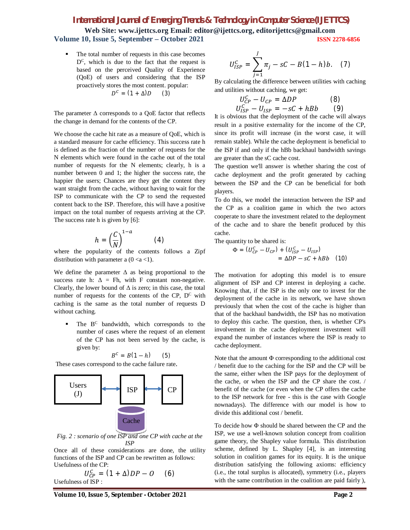**Web Site: www.ijettcs.org Email: editor@ijettcs.org, editorijettcs@gmail.com Volume 10, Issue 5, September – October 2021 ISSN 2278-6856**

 The total number of requests in this case becomes  $D^C$ , which is due to the fact that the request is based on the perceived Quality of Experience (QoE) of users and considering that the ISP proactively stores the most content. popular:  $D^{C} = (1 + \Delta)D$  (3)

The parameter  $\Delta$  corresponds to a QoE factor that reflects the change in demand for the contents of the CP.

We choose the cache hit rate as a measure of QoE, which is a standard measure for cache efficiency. This success rate h is defined as the fraction of the number of requests for the N elements which were found in the cache out of the total number of requests for the N elements; clearly, h is a number between 0 and 1; the higher the success rate, the happier the users; Chances are they get the content they want straight from the cache, without having to wait for the ISP to communicate with the CP to send the requested content back to the ISP. Therefore, this will have a positive impact on the total number of requests arriving at the CP. The success rate h is given by [6]:

$$
h = \left(\frac{C}{N}\right)^{1-a} \tag{4}
$$

where the popularity of the contents follows a Zipf distribution with parameter a  $(0 \lt a \lt 1)$ .

We define the parameter  $\Delta$  as being proportional to the success rate h:  $\Delta$  = Fh, with F constant non-negative. Clearly, the lower bound of  $\Delta$  is zero; in this case, the total number of requests for the contents of the CP,  $D^C$  with caching is the same as the total number of requests D without caching.

 $\blacksquare$  The  $B^C$  bandwidth, which corresponds to the number of cases where the request of an element of the CP has not been served by the cache, is given by:

$$
B^c = B(1-h) \qquad (5)
$$

These cases correspond to the cache failure rate.



*Fig. 2 : scenario of one ISP and one CP with cache at the ISP*

Once all of these considerations are done, the utility functions of the ISP and CP can be rewritten as follows: Usefulness of the CP:

$$
U_{CP}^C = (1 + \Delta)DP - O \qquad (6)
$$
  
Usefulness of ISP :

**Volume 10, Issue 5, September - October 2021 Page 2**

$$
U_{ISP}^C = \sum_{j=1}^{J} \pi_j - sC - B(1-h)b. \quad (7)
$$

By calculating the difference between utilities with caching and utilities without caching, we get:

$$
U_{CP}^{C} - U_{CP} = \Delta DP
$$
 (8)  

$$
U_{ISP}^{C} - U_{ISP} = -sC + hBb
$$
 (9)

It is obvious that the deployment of the cache will always result in a positive externality for the income of the CP, since its profit will increase (in the worst case, it will remain stable). While the cache deployment is beneficial to the ISP if and only if the hBb backhaul bandwidth savings are greater than the sC cache cost.

The question we'll answer is whether sharing the cost of cache deployment and the profit generated by caching between the ISP and the CP can be beneficial for both players.

To do this, we model the interaction between the ISP and the CP as a coalition game in which the two actors cooperate to share the investment related to the deployment of the cache and to share the benefit produced by this cache.

The quantity to be shared is:

$$
\Phi = (U_{CP}^c - U_{CP}) + (U_{ISP}^c - U_{ISP})
$$
  
=  $\Delta DP - sC + hBb$  (10)

The motivation for adopting this model is to ensure alignment of ISP and CP interest in deploying a cache. Knowing that, if the ISP is the only one to invest for the deployment of the cache in its network, we have shown previously that when the cost of the cache is higher than that of the backhaul bandwidth, the ISP has no motivation to deploy this cache. The question, then, is whether CP's involvement in the cache deployment investment will expand the number of instances where the ISP is ready to cache deployment.

Note that the amount Φ corresponding to the additional cost / benefit due to the caching for the ISP and the CP will be the same, either when the ISP pays for the deployment of the cache, or when the ISP and the CP share the cost. / benefit of the cache (or even when the CP offers the cache to the ISP network for free - this is the case with Google nownadays). The difference with our model is how to divide this additional cost / benefit.

To decide how Φ should be shared between the CP and the ISP, we use a well-known solution concept from coalition game theory, the Shapley value formula. This distribution scheme, defined by L. Shapley [4], is an interesting solution in coalition games for its equity. It is the unique distribution satisfying the following axioms: efficiency (i.e., the total surplus is allocated), symmetry (i.e., players with the same contribution in the coalition are paid fairly ),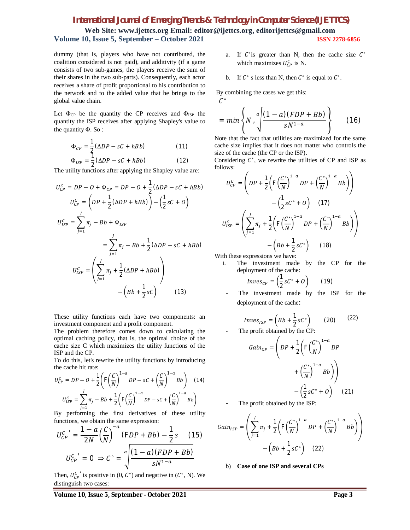**Web Site: www.ijettcs.org Email: editor@ijettcs.org, editorijettcs@gmail.com Volume 10, Issue 5, September – October 2021 ISSN 2278-6856**

dummy (that is, players who have not contributed, the coalition considered is not paid), and additivity (if a game consists of two sub-games, the players receive the sum of their shares in the two sub-parts). Consequently, each actor receives a share of profit proportional to his contribution to the network and to the added value that he brings to the global value chain.

Let  $\Phi_{CP}$  be the quantity the CP receives and  $\Phi_{ISP}$  the quantity the ISP receives after applying Shapley's value to the quantity Φ. So :

$$
\Phi_{CP} = \frac{1}{2} (\Delta DP - sC + hBb)
$$
 (11)

$$
\Phi_{ISP} = \frac{1}{2} (\Delta DP - sC + hBb)
$$
 (12)

The utility functions after applying the Shapley value are:

$$
U_{CP}^{C} = DP - O + \Phi_{CP} = DP - O + \frac{1}{2}(\Delta DP - sC + hBb)
$$
  

$$
U_{CP}^{C} = \left( DP + \frac{1}{2}(\Delta DP + hBb) \right) - \left( \frac{1}{2}sC + O \right)
$$
  

$$
U_{ISP}^{C} = \sum_{j=1}^{J} \pi_j - Bb + \Phi_{ISP}
$$
  

$$
= \sum_{j=1}^{J} \pi_j - Bb + \frac{1}{2}(\Delta DP - sC + hBb)
$$
  

$$
U_{ISP}^{C} = \left( \sum_{j=1}^{J} \pi_j + \frac{1}{2}(\Delta DP + hBb) \right)
$$
  

$$
- \left( Bb + \frac{1}{2}sC \right) \qquad (13)
$$

These utility functions each have two components: an investment component and a profit component.

The problem therefore comes down to calculating the optimal caching policy, that is, the optimal choice of the cache size C which maximizes the utility functions of the ISP and the CP.

To do this, let's rewrite the utility functions by introducing the cache hit rate:

$$
U_{CP}^{C} = DP - O + \frac{1}{2} \left( F \left( \frac{C}{N} \right)^{1-a} DP - sC + \left( \frac{C}{N} \right)^{1-a} Bb \right)
$$
 (14)  

$$
U_{ISP}^{C} = \sum_{j=1}^{J} \pi_j - Bb + \frac{1}{2} \left( F \left( \frac{C}{N} \right)^{1-a} DP - sC + \left( \frac{C}{N} \right)^{1-a} Bb \right)
$$

By performing the first derivatives of these utility functions, we obtain the same expression:

$$
U_{CP}^{C'} = \frac{1 - a}{2N} \left(\frac{C}{N}\right)^{-a} (FDP + Bb) - \frac{1}{2}s \quad (15)
$$

$$
U_{CP}^{C'} = 0 \Rightarrow C^{\circ} = \sqrt{\frac{(1 - a)(FDP + Bb)}{sN^{1 - a}}}
$$

Then,  $U_{\text{CP}}^{C}$  is positive in  $(0, C^{\circ})$  and negative in  $(C^{\circ}, N)$ . We distinguish two cases:

- a. If  $C^{\circ}$  is greater than N, then the cache size  $C^*$ which maximizes  $U_{\text{CP}}^C$  is N.
- b. If  $C^{\circ}$  s less than N, then  $C^*$  is equal to  $C^{\circ}$ .

By combining the cases we get this:

$$
C^*
$$
  
= min $\left\{N, \sqrt[a]{\frac{(1-a)(FDP + Bb)}{sN^{1-a}}}\right\}$  (16)

Note that the fact that utilities are maximized for the same cache size implies that it does not matter who controls the size of the cache (the CP or the ISP).

Considering  $C^*$ , we rewrite the utilities of CP and ISP as follows:

$$
U_{CP}^{C} = \left( DP + \frac{1}{2} \left( F \left( \frac{C^*}{N} \right)^{1-a} DP + \left( \frac{C^*}{N} \right)^{1-a} Bb \right) \right) - \left( \frac{1}{2} s C^* + O \right) \quad (17)
$$
  

$$
U_{ISP}^{C} = \left( \sum_{j=1}^{J} \pi_j + \frac{1}{2} \left( F \left( \frac{C^*}{N} \right)^{1-a} DP + \left( \frac{C^*}{N} \right)^{1-a} Bb \right) \right) - \left( Bb + \frac{1}{2} s C^* \right) \quad (18)
$$

With these expressions we have:

i. The investment made by the CP for the deployment of the cache:

$$
Inves_{CP} = \left(\frac{1}{2} sC^* + O\right) \tag{19}
$$

The investment made by the ISP for the deployment of the cache:

$$
Inves_{ISP} = \left(Bb + \frac{1}{2} sC^*\right) \qquad (20) \qquad (22)
$$
  
The profit obtained by the CP:

The profit obtained by the CP:

$$
Gain_{CP} = \left( DP + \frac{1}{2} \left( F \left( \frac{C^*}{N} \right)^{1-a} DP + \left( \frac{C^*}{N} \right)^{1-a} Bh \right) \right)
$$

$$
- \left( \frac{1}{2} sC^* + O \right) \tag{21}
$$

The profit obtained by the ISP:

$$
Gain_{ISP} = \left(\sum_{j=1}^{J} \pi_j + \frac{1}{2} \left( F \left( \frac{C^*}{N} \right)^{1-a} DP + \left( \frac{C^*}{N} \right)^{1-a} Bb \right) \right) - \left( Bb + \frac{1}{2} sC^* \right) \quad (22)
$$

b) **Case of one ISP and several CPs**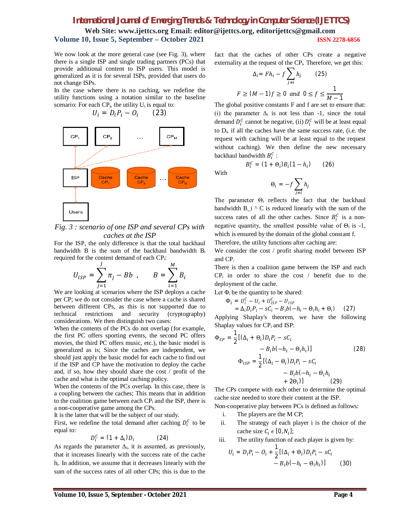**Web Site: www.ijettcs.org Email: editor@ijettcs.org, editorijettcs@gmail.com Volume 10, Issue 5, September – October 2021 ISSN 2278-6856**

We now look at the more general case (see Fig. 3), where there is a single ISP and single trading partners (PCs) that provide additional content to ISP users. This model is generalized as it is for several ISPs, provided that users do not change ISPs.

In the case where there is no caching, we redefine the utility functions using a notation similar to the baseline scenario: For each  $CP_i$ , the utility  $U_i$  is equal to:

 $U_i = D_i P_i - O_i$  (23)



*Fig. 3 : scenario of one ISP and several CPs with caches at the ISP*

For the ISP, the only difference is that the total backhaul bandwidth B is the sum of the backhaul bandwidth B<sup>i</sup> required for the content demand of each CPi:

$$
U_{ISP} = \sum_{j=1}^{J} \pi_j - Bb \t B = \sum_{i=1}^{M} B_i
$$

We are looking at scenarios where the ISP deploys a cache per CP; we do not consider the case where a cache is shared between different CPs, as this is not supported due to technical restrictions and security (cryptography) considerations. We then distinguish two cases:

When the contents of the PCs do not overlap (for example, the first PC offers sporting events, the second PC offers movies, the third PC offers music, etc.), the basic model is generalized as is; Since the caches are independent, we should just apply the basic model for each cache to find out if the ISP and CP have the motivation to deploy the cache and, if so, how they should share the cost / profit of the cache and what is the optimal caching policy.

When the contents of the PCs overlap. In this case, there is a coupling between the caches; This means that in addition to the coalition game between each  $CP_i$  and the ISP, there is a non-cooperative game among the CPs.

It is the latter that will be the subject of our study.

First, we redefine the total demand after caching  $D_i^C$  to be equal to:

$$
D_i^C = (1 + \Delta_i) D_i \tag{24}
$$

As regards the parameter  $\Delta_i$ , it is assumed, as previously, that it increases linearly with the success rate of the cache hi. In addition, we assume that it decreases linearly with the sum of the success rates of all other CPs; this is due to the

fact that the caches of other CPs create a negative externality at the request of the CPi. Therefore, we get this:

$$
\Delta_i = Fh_i - f \sum_{j \neq i} h_j \qquad (25)
$$
  

$$
F \ge (M - 1)f \ge 0 \text{ and } 0 \le f \le \frac{1}{M - 1}
$$

The global positive constants F and f are set to ensure that: (i) the parameter  $\Delta_i$  is not less than -1, since the total demand  $D_i^C$  cannot be negative, (ii)  $D_i^C$  will be at least equal to Di, if all the caches have the same success rate, (i.e. the request with caching will be at least equal to the request without caching). We then define the new necessary backhaul bandwidth  $B_i^C$ :

With

$$
\Theta_i = -f \sum_{j \neq i} h_j
$$

) (26)

 $B_i^c = (1 + \Theta_i) B_i (1 - h_i)$ 

The parameter  $\Theta_i$  reflects the fact that the backhaul bandwidth  $B_i \wedge C$  is reduced linearly with the sum of the success rates of all the other caches. Since  $B_i^C$  is a nonnegative quantity, the smallest possible value of  $\Theta_i$  is -1, which is ensured by the domain of the global constant f. Therefore, the utility functions after caching are:

We consider the cost / profit sharing model between ISP and CP.

There is then a coalition game between the ISP and each  $CP_i$  in order to share the cost / benefit due to the deployment of the cache.

Let  $\Phi_i$  be the quantity to be shared:

$$
\Phi_i = U_i^C - U_i + U_{ISP}^C - U_{ISP}
$$
  
=  $\Delta_i D_i P_i - sC_i - B_i b(-h_i - \Theta_i h_i + \Theta_i)$  (27)

Applying Shaplay's theorem, we have the following Shaplay values for CP<sub>i</sub> and ISP:

$$
\Phi_{CP} = \frac{1}{2} [(\Delta_i + \Theta_i) D_i P_i - sC_i
$$
  
\n
$$
- B_i b(-h_i - \Theta_i h_i)]
$$
  
\n
$$
\Phi_{ISP} = \frac{1}{2} [(\Delta_i - \Theta_i) D_i P_i - sC_i
$$
  
\n
$$
- B_i b(-h_i - \Theta_i h_i
$$
  
\n
$$
+ 2\Theta_i)]
$$
 (29)

The CPs compete with each other to determine the optimal cache size needed to store their content at the ISP.

Non-cooperative play between PCs is defined as follows:

- i. The players are the M CP;
- ii. The strategy of each player i is the choice of the cache size  $C_i \in [0, N_i]$ ;
- iii. The utility function of each player is given by:

$$
U_i = D_i P_i - O_i + \frac{1}{2} [(\Delta_i + \Theta_i) D_i P_i - sC_i
$$
  
-  $B_i b(-h_i - \Theta_i h_i)]$  (30)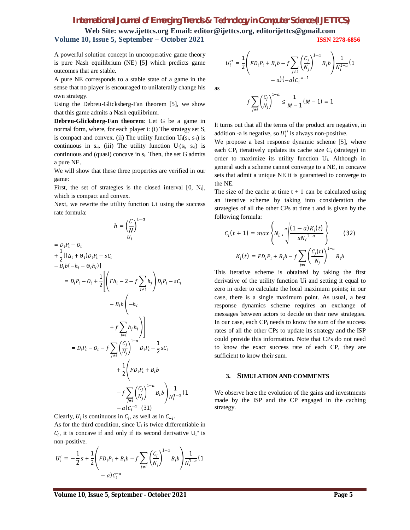**Web Site: www.ijettcs.org Email: editor@ijettcs.org, editorijettcs@gmail.com Volume 10, Issue 5, September – October 2021 ISSN 2278-6856**

A powerful solution concept in uncooperative game theory is pure Nash equilibrium (NE) [5] which predicts game outcomes that are stable.

A pure NE corresponds to a stable state of a game in the sense that no player is encouraged to unilaterally change his own strategy.

Using the Debreu-Glicksberg-Fan theorem [5], we show that this game admits a Nash equilibrium.

**Debreu-Glicksberg-Fan theorem**: Let G be a game in normal form, where, for each player i: (i) The strategy set S<sup>i</sup> is compact and convex. (ii) The utility function  $U_i(s_i, s_{-i})$  is continuous in  $s_{-i}$ . (iii) The utility function  $U_i(s_i, s_{-i})$  is continuous and (quasi) concave in si. Then, the set G admits a pure NE.

We will show that these three properties are verified in our game:

First, the set of strategies is the closed interval [0, N<sub>i</sub>], which is compact and convex.

Next, we rewrite the utility function Ui using the success rate formula:

$$
h = \left(\frac{C}{N}\right)^{1-a}
$$
  
\n
$$
= D_{i}P_{i} - O_{i}
$$
  
\n
$$
+ \frac{1}{2}[(\Delta_{i} + \Theta_{i})D_{i}P_{i} - sC_{i}
$$
  
\n
$$
- B_{i}b(-h_{i} - \Theta_{i}h_{i})]
$$
  
\n
$$
= D_{i}P_{i} - O_{i} + \frac{1}{2}\left[\left(Fh_{i} - 2 - f\sum_{j \neq i}h_{j}\right)D_{i}P_{i} - sC_{i}
$$
  
\n
$$
- B_{i}b\left(-h_{i}
$$
  
\n
$$
+ f\sum_{j \neq i}h_{j}h_{i}\right)\right]
$$
  
\n
$$
= D_{i}P_{i} - O_{i} - f\sum_{j \neq i}\left(\frac{C_{j}}{N_{j}}\right)^{1-a}D_{i}P_{i} - \frac{1}{2}sC_{i}
$$
  
\n
$$
+ \frac{1}{2}\left(FD_{i}P_{i} + B_{i}b\right)
$$
  
\n
$$
- f\sum_{j \neq i}\left(\frac{C_{j}}{N_{j}}\right)^{1-a}B_{i}b\right)\frac{1}{N_{i}^{1-a}}(1 - a)C_{i}^{-a} (31)
$$

Clearly,  $U_i$  is continuous in  $C_i$ , as well as in  $C_{-i}$ .

As for the third condition, since U<sub>i</sub> is twice differentiable in  $C_i$ , it is concave if and only if its second derivative  $U_i$ " is non-positive.

$$
U'_{i} = -\frac{1}{2}s + \frac{1}{2}\left(FD_{i}P_{i} + B_{i}b - f\sum_{j \neq i}\left(\frac{C_{j}}{N_{j}}\right)^{1-a}B_{i}b\right)\frac{1}{N_{i}^{1-a}}(1 - a)C_{i}^{-a}
$$

$$
U_{i}^{"} = \frac{1}{2} \left( F D_{i} P_{i} + B_{i} b - f \sum_{j \neq i} \left( \frac{C_{j}}{N_{j}} \right)^{1-a} B_{i} b \right) \frac{1}{N_{i}^{1-a}} (1 - a) (-a) C_{i}^{-a-1}
$$

as

$$
f\sum_{j\neq i}\left(\frac{C_j}{N_j}\right)^{1-a}\leq \frac{1}{M-1}(M-1)=1
$$

It turns out that all the terms of the product are negative, in addition -a is negative, so  $U_i''$  is always non-positive.

We propose a best response dynamic scheme [5], where each  $CP_i$  iteratively updates its cache size  $C_i$  (strategy) in order to maximize its utility function Ui. Although in general such a scheme cannot converge to a NE, in concave sets that admit a unique NE it is guaranteed to converge to the NE.

The size of the cache at time  $t + 1$  can be calculated using an iterative scheme by taking into consideration the strategies of all the other CPs at time t and is given by the following formula:

$$
C_i(t + 1) = max \left\{ N_i \cdot \sqrt[4]{\frac{(1 - a)K_i(t)}{sN_i^{1 - a}}} \right\}
$$
 (32)  

$$
K_i(t) = FD_i P_i + B_i b - f \sum_{j \neq i} \left( \frac{C_j(t)}{N_j} \right)^{1 - a} B_i b
$$

This iterative scheme is obtained by taking the first derivative of the utility function Ui and setting it equal to zero in order to calculate the local maximum points; in our case, there is a single maximum point. As usual, a best response dynamics scheme requires an exchange of messages between actors to decide on their new strategies. In our case, each  $CP_i$  needs to know the sum of the success rates of all the other CPs to update its strategy and the ISP could provide this information. Note that CPs do not need to know the exact success rate of each CP, they are sufficient to know their sum.

#### **3. SIMULATION AND COMMENTS**

We observe here the evolution of the gains and investments made by the ISP and the CP engaged in the caching strategy.